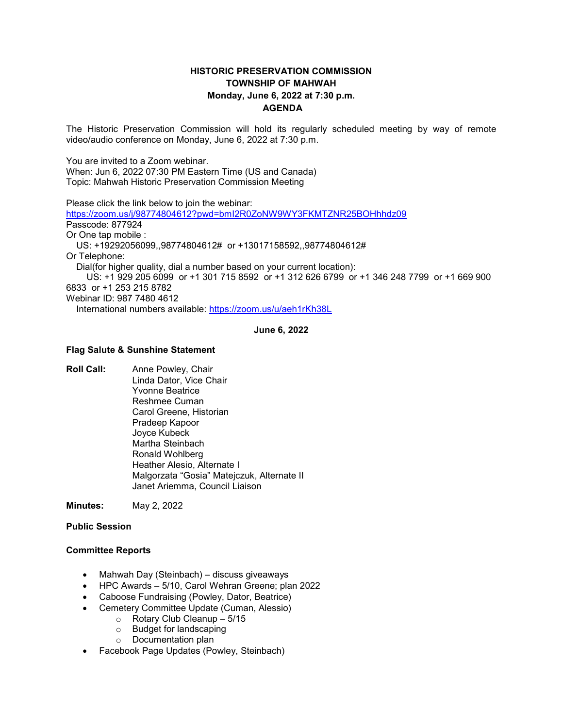# **HISTORIC PRESERVATION COMMISSION TOWNSHIP OF MAHWAH Monday, June 6, 2022 at 7:30 p.m. AGENDA**

The Historic Preservation Commission will hold its regularly scheduled meeting by way of remote video/audio conference on Monday, June 6, 2022 at 7:30 p.m.

You are invited to a Zoom webinar.

When: Jun 6, 2022 07:30 PM Eastern Time (US and Canada) Topic: Mahwah Historic Preservation Commission Meeting

Please click the link below to join the webinar:

<https://zoom.us/j/98774804612?pwd=bmI2R0ZoNW9WY3FKMTZNR25BOHhhdz09> Passcode: 877924 Or One tap mobile : US: +19292056099,,98774804612# or +13017158592,,98774804612# Or Telephone: Dial(for higher quality, dial a number based on your current location): US: +1 929 205 6099 or +1 301 715 8592 or +1 312 626 6799 or +1 346 248 7799 or +1 669 900 6833 or +1 253 215 8782 Webinar ID: 987 7480 4612 International numbers available:<https://zoom.us/u/aeh1rKh38L>

#### **June 6, 2022**

#### **Flag Salute & Sunshine Statement**

**Roll Call:** Anne Powley, Chair Linda Dator, Vice Chair Yvonne Beatrice Reshmee Cuman Carol Greene, Historian Pradeep Kapoor Joyce Kubeck Martha Steinbach Ronald Wohlberg Heather Alesio, Alternate I Malgorzata "Gosia" Matejczuk, Alternate II Janet Ariemma, Council Liaison

**Minutes:** May 2, 2022

### **Public Session**

### **Committee Reports**

- Mahwah Day (Steinbach) discuss giveaways
- HPC Awards 5/10, Carol Wehran Greene; plan 2022
- Caboose Fundraising (Powley, Dator, Beatrice)
- Cemetery Committee Update (Cuman, Alessio)
	- o Rotary Club Cleanup 5/15
	- o Budget for landscaping
	- o Documentation plan
- Facebook Page Updates (Powley, Steinbach)